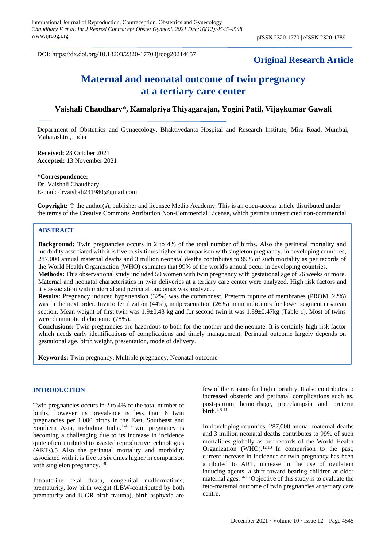DOI: https://dx.doi.org/10.18203/2320-1770.ijrcog20214657

## **Original Research Article**

# **Maternal and neonatal outcome of twin pregnancy at a tertiary care center**

## **Vaishali Chaudhary\*, Kamalpriya Thiyagarajan, Yogini Patil, Vijaykumar Gawali**

Department of Obstetrics and Gynaecology, Bhaktivedanta Hospital and Research Institute, Mira Road, Mumbai, Maharashtra, India

**Received:** 23 October 2021 **Accepted:** 13 November 2021

**\*Correspondence:** Dr. Vaishali Chaudhary, E-mail: drvaishali231980@gmail.com

**Copyright:** © the author(s), publisher and licensee Medip Academy. This is an open-access article distributed under the terms of the Creative Commons Attribution Non-Commercial License, which permits unrestricted non-commercial

use, distribution, and reproduction in any medium, provided the original work is properly cited.

#### **ABSTRACT**

**Background:** Twin pregnancies occurs in 2 to 4% of the total number of births. Also the perinatal mortality and morbidity associated with it is five to six times higher in comparison with singleton pregnancy. In developing countries, 287,000 annual maternal deaths and 3 million neonatal deaths contributes to 99% of such mortality as per records of the World Health Organization (WHO) estimates that 99% of the world's annual occur in developing countries.

**Methods:** This observational study included 50 women with twin pregnancy with gestational age of 26 weeks or more. Maternal and neonatal characteristics in twin deliveries at a tertiary care center were analyzed. High risk factors and it's association with maternal and perinatal outcomes was analyzed.

**Results:** Pregnancy induced hypertension (32%) was the commonest, Preterm rupture of membranes (PROM, 22%) was in the next order. Invitro fertilization (44%), malpresentation (26%) main indicators for lower segment cesarean section. Mean weight of first twin was 1.9±0.43 kg and for second twin it was 1.89±0.47kg (Table 1). Most of twins were diamniotic dichorionic (78%).

**Conclusions:** Twin pregnancies are hazardous to both for the mother and the neonate. It is certainly high risk factor which needs early identifications of complications and timely management. Perinatal outcome largely depends on gestational age, birth weight, presentation, mode of delivery.

**Keywords:** Twin pregnancy, Multiple pregnancy, Neonatal outcome

#### **INTRODUCTION**

Twin pregnancies occurs in 2 to 4% of the total number of births, however its prevalence is less than 8 twin pregnancies per 1,000 births in the East, Southeast and Southern Asia, including India.<sup>1-4</sup> Twin pregnancy is becoming a challenging due to its increase in incidence quite often attributed to assisted reproductive technologies (ARTs).5 Also the perinatal mortality and morbidity associated with it is five to six times higher in comparison with singleton pregnancy.<sup>6-8</sup>

Intrauterine fetal death, congenital malformations, prematurity, low birth weight (LBW-contributed by both prematurity and IUGR birth trauma), birth asphyxia are

few of the reasons for high mortality. It also contributes to increased obstetric and perinatal complications such as, post-partum hemorrhage, preeclampsia and preterm birth. $4,8-11$ 

In developing countries, 287,000 annual maternal deaths and 3 million neonatal deaths contributes to 99% of such mortalities globally as per records of the World Health Organization (WHO). $12,13$  In comparison to the past, current increase in incidence of twin pregnancy has been attributed to ART, increase in the use of ovulation inducing agents, a shift toward bearing children at older maternal ages.14-16 Objective of this study is to evaluate the feto-maternal outcome of twin pregnancies at tertiary care centre.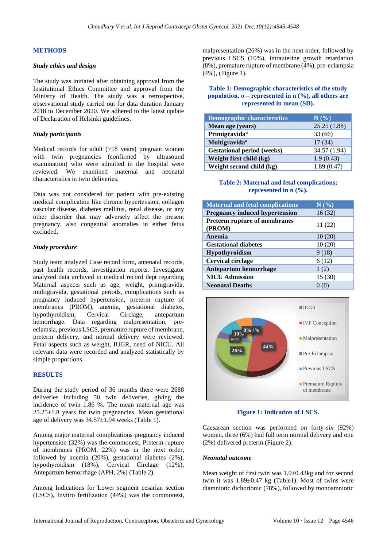## **METHODS**

#### *Study ethics and design*

The study was initiated after obtaining approval from the Institutional Ethics Committee and approval from the Ministry of Health. The study was a retrospective, observational study carried out for data duration January 2018 to December 2020. We adhered to the latest update of Declaration of Helsinki guidelines.

#### *Study participants*

Medical records for adult (>18 years) pregnant women with twin pregnancies (confirmed by ultrasound examination) who were admitted in the hospital were reviewed. We examined maternal and neonatal characteristics in twin deliveries.

Data was not considered for patient with pre-existing medical complication like chronic hypertension, collagen vascular disease, diabetes mellitus, renal disease, or any other disorder that may adversely affect the present pregnancy, also congenital anomalies in either fetus excluded.

## *Study procedure*

Study team analyzed Case record form, antenatal records, past health records, investigation reports. Investigator analyzed data archived in medical record dept regarding Maternal aspects such as age, weight, primigravida, multigravida, gestational periods, complications such as pregnancy induced hypertension, preterm rupture of membranes (PROM), anemia, gestational diabetes, hypothyroidism, Cervical Circlage, antepartum hemorrhage. Data regarding malpresentation, preeclamsia, previous LSCS, premature rupture of membrane, preterm delivery, and normal delivery were reviewed. Fetal aspects such as weight, IUGR, need of NICU. All relevant data were recorded and analyzed statistically by simple proportions.

#### **RESULTS**

During the study period of 36 months there were 2688 deliveries including 50 twin deliveries, giving the incidence of twin 1.86 %. The mean maternal age was  $25.25\pm1.8$  years for twin pregnancies. Mean gestational age of delivery was 34.57±1.94 weeks (Table 1).

Among major maternal complications pregnancy induced hypertension (32%) was the commonest, Preterm rupture of membranes (PROM, 22%) was in the next order, followed by anemia (20%), gestational diabetes (2%), hypothyroidism (18%), Cervical Circlage (12%), Antepartum hemorrhage (APH, 2%) (Table 2).

Among Indications for Lower segment cesarian section (LSCS), Invitro fertilization (44%) was the commonest, malpresentation (26%) was in the next order, followed by previous LSCS (10%), intrauterine growth retardation (8%), premature rupture of membrane (4%), pre-eclampsia (4%), (Figure 1).

## **Table 1: Demographic characteristics of the study population. α – represented in n (%), all others are represented in mean (SD).**

| <b>Demographic characteristics</b> | $N(\%)$      |
|------------------------------------|--------------|
| Mean age (years)                   | 25.25(1.88)  |
| Primigravida <sup>a</sup>          | 33(66)       |
| Multigravida <sup>a</sup>          | 17(34)       |
| <b>Gestational period (weeks)</b>  | 34.57 (1.94) |
| Weight first child (kg)            | 1.9(0.43)    |
| Weight second child (kg)           | 1.89(0.47)   |

## **Table 2: Maternal and fetal complications; represented in n (%).**

| <b>Maternal and fetal complications</b> | N(%)    |
|-----------------------------------------|---------|
| <b>Pregnancy induced hypertension</b>   | 16(32)  |
| Preterm rupture of membranes<br>(PROM)  | 11 (22) |
| Anemia                                  | 10(20)  |
| <b>Gestational diabetes</b>             | 10(20)  |
| <b>Hypothyroidism</b>                   | 9(18)   |
| <b>Cervical circlage</b>                | 6(12)   |
| <b>Antepartum hemorrhage</b>            | 1(2)    |
| <b>NICU Admission</b>                   | 15(30)  |
| <b>Neonatal Deaths</b>                  |         |



**Figure 1: Indication of LSCS.**

Caesarean section was performed on forty-six (92%) women, three (6%) had full term normal delivery and one (2%) delivered preterm (Figure 2).

## *Neonatal outcome*

Mean weight of first twin was 1.9±0.43kg and for second twin it was  $1.89 \pm 0.47$  kg (Table1). Most of twins were diamniotic dichorionic (78%), followed by monoamniotic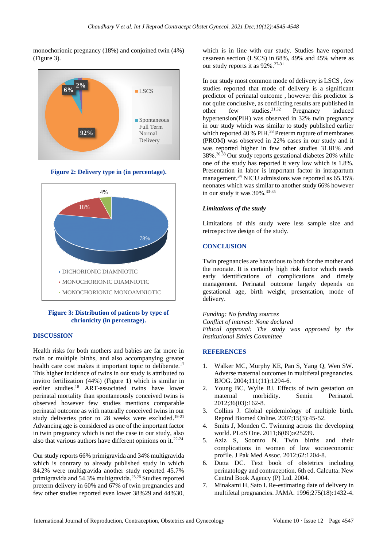monochorionic pregnancy (18%) and conjoined twin (4%) (Figure 3).



**Figure 2: Delivery type in (in percentage).**



## **Figure 3: Distribution of patients by type of chrionicity (in percentage).**

#### **DISCUSSION**

Health risks for both mothers and babies are far more in twin or multiple births, and also accompanying greater health care cost makes it important topic to deliberate.<sup>17</sup> This higher incidence of twins in our study is attributed to invitro fertilization (44%) (Figure 1) which is similar in earlier studies.<sup>18</sup> ART-associated twins have lower perinatal mortality than spontaneously conceived twins is observed however few studies mentions comparable perinatal outcome as with naturally conceived twins in our study deliveries prior to 28 weeks were excluded.<sup>19-21</sup> Advancing age is considered as one of the important factor in twin pregnancy which is not the case in our study, also also that various authors have different opinions on it. 22-24

Our study reports 66% primigravida and 34% multigravida which is contrary to already published study in which 84.2% were multigravida another study reported 45.7% primigravida and 54.3% multigravida.25,26 Studies reported preterm delivery in 60% and 67% of twin pregnancies and few other studies reported even lower 38%29 and 44%30,

which is in line with our study. Studies have reported cesarean section (LSCS) in 68%, 49% and 45% where as our study reports it as 92%.27-31

In our study most common mode of delivery is LSCS , few studies reported that mode of delivery is a significant predictor of perinatal outcome , however this predictor is not quite conclusive, as conflicting results are published in other few studies.31,32 Pregnancy induced hypertension(PIH) was observed in 32% twin pregnancy in our study which was similar to study published earlier which reported 40 % PIH.<sup>33</sup> Preterm rupture of membranes (PROM) was observed in 22% cases in our study and it was reported higher in few other studies 31.81% and 38%.30,33 Our study reports gestational diabetes 20% while one of the study has reported it very low which is 1.8%. Presentation in labor is important factor in intrapartum management.<sup>34</sup> NICU admissions was reported as 65.15% neonates which was similar to another study 66% however in our study it was 30%.<sup>33-35</sup>

## *Limitations of the study*

Limitations of this study were less sample size and retrospective design of the study.

## **CONCLUSION**

Twin pregnancies are hazardous to both for the mother and the neonate. It is certainly high risk factor which needs early identifications of complications and timely management. Perinatal outcome largely depends on gestational age, birth weight, presentation, mode of delivery.

*Funding: No funding sources Conflict of interest: None declared Ethical approval: The study was approved by the Institutional Ethics Committee*

## **REFERENCES**

- 1. Walker MC, Murphy KE, Pan S, Yang Q, Wen SW. Adverse maternal outcomes in multifetal pregnancies. BJOG. 2004;111(11):1294-6.
- 2. Young BC, Wylie BJ. Effects of twin gestation on maternal morbidity. Semin Perinatol. 2012;36(03):162-8.
- 3. Collins J. Global epidemiology of multiple birth. Reprod Biomed Online. 2007;15(3):45-52.
- 4. Smits J, Monden C. Twinning across the developing world. PLoS One. 2011;6(09):e25239.
- 5. Aziz S, Soomro N. Twin births and their complications in women of low socioeconomic profile. J Pak Med Assoc. 2012;62:1204-8.
- 6. Dutta DC. Text book of obstetrics including perinatology and contraception. 6th ed. Calcutta: New Central Book Agency (P) Ltd. 2004.
- 7. Minakami H, Sato I. Re-estimating date of delivery in multifetal pregnancies. JAMA. 1996;275(18):1432-4.